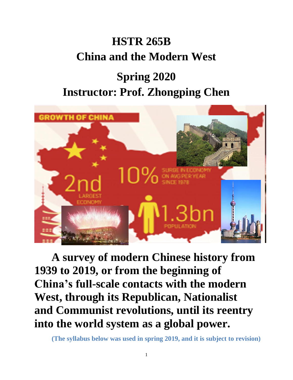# **HSTR 265B China and the Modern West**

# **Spring 2020 Instructor: Prof. Zhongping Chen**



**A survey of modern Chinese history from 1939 to 2019, or from the beginning of China's full-scale contacts with the modern West, through its Republican, Nationalist and Communist revolutions, until its reentry into the world system as a global power.**

**(The syllabus below was used in spring 2019, and it is subject to revision)**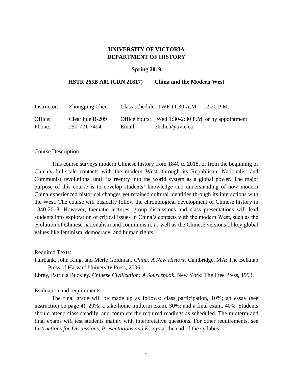### **UNIVERSITY OF VICTORIA DEPARTMENT OF HISTORY**

#### **Spring 2019**

#### **HSTR 265B A01 (CRN 21817) China and the Modern West**

| Instructor: | Zhongping Chen  | Class schedule: TWF $11:30$ A.M. $- 12:20$ P.M. |                                                    |
|-------------|-----------------|-------------------------------------------------|----------------------------------------------------|
| Office:     | Clearihue B-209 |                                                 | Office hours: Wed.1:30-2:30 P.M. or by appointment |
| Phone:      | 250-721-7404    | Email:                                          | zhchen@uvic.ca                                     |

#### Course Description:

This course surveys modern Chinese history from 1840 to 2018, or from the beginning of China's full-scale contacts with the modern West, through its Republican, Nationalist and Communist revolutions, until its reentry into the world system as a global power. The major purpose of this course is to develop students' knowledge and understanding of how modern China experienced historical changes yet retained cultural identities through its interactions with the West. The course will basically follow the chronological development of Chinese history in 1840-2018. However, thematic lectures, group discussions and class presentations will lead students into exploration of critical issues in China's contacts with the modern West, such as the evolution of Chinese nationalism and communism, as well as the Chinese versions of key global values like feminism, democracy, and human rights.

Required Texts:

Fairbank, John King, and Merle Goldman. *China: A New History*. Cambridge, MA: The Belknap Press of Harvard University Press, 2006.

Ebrey, Patricia Buckley. *Chinese Civilization: A Sourcebook*. New York: The Free Press, 1993.

#### Evaluation and requirements:

The final grade will be made up as follows: class participation, 10%; an essay (see instruction on page 4), 20%; a take-home midterm exam, 30%; and a final exam, 40%. Students should attend class steadily, and complete the required readings as scheduled. The midterm and final exams will test students mainly with interpretative questions. For other requirements, see *Instructions for Discussions, Presentations and Essays* at the end of the syllabus.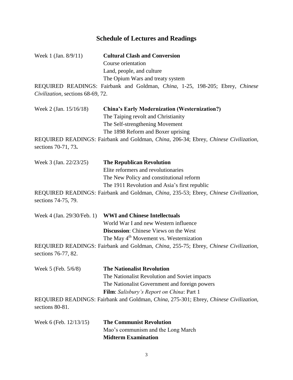## **Schedule of Lectures and Readings**

| Week 1 (Jan. $8/9/11$ )           | <b>Cultural Clash and Conversion</b>                                                  |
|-----------------------------------|---------------------------------------------------------------------------------------|
|                                   | Course orientation                                                                    |
|                                   | Land, people, and culture                                                             |
|                                   | The Opium Wars and treaty system                                                      |
|                                   | REQUIRED READINGS: Fairbank and Goldman, China, 1-25, 198-205; Ebrey, Chinese         |
| Civilization, sections 68-69, 72. |                                                                                       |
| Week 2 (Jan. $15/16/18$ )         | <b>China's Early Modernization (Westernization?)</b>                                  |
|                                   | The Taiping revolt and Christianity                                                   |
|                                   | The Self-strengthening Movement                                                       |
|                                   | The 1898 Reform and Boxer uprising                                                    |
| sections 70-71, 73.               | REQUIRED READINGS: Fairbank and Goldman, China, 206-34; Ebrey, Chinese Civilization,  |
| Week 3 (Jan. 22/23/25)            | <b>The Republican Revolution</b>                                                      |
|                                   | Elite reformers and revolutionaries                                                   |
|                                   | The New Policy and constitutional reform                                              |
|                                   | The 1911 Revolution and Asia's first republic                                         |
| sections 74-75, 79.               | REQUIRED READINGS: Fairbank and Goldman, China, 235-53; Ebrey, Chinese Civilization,  |
| Week 4 (Jan. 29/30/Feb. 1)        | <b>WWI</b> and Chinese Intellectuals                                                  |
|                                   | World War I and new Western influence                                                 |
|                                   | <b>Discussion:</b> Chinese Views on the West                                          |
|                                   | The May 4 <sup>th</sup> Movement vs. Westernization                                   |
| sections 76-77, 82.               | REQUIRED READINGS: Fairbank and Goldman, China, 255-75; Ebrey, Chinese Civilization,  |
| Week 5 (Feb. 5/6/8)               | <b>The Nationalist Revolution</b>                                                     |
|                                   | The Nationalist Revolution and Soviet impacts                                         |
|                                   | The Nationalist Government and foreign powers                                         |
|                                   | Film: Salisbury's Report on China: Part 1                                             |
| sections 80-81.                   | REQUIRED READINGS: Fairbank and Goldman, China, 275-301; Ebrey, Chinese Civilization, |
| Week 6 (Feb. $12/13/15$ )         | <b>The Communist Revolution</b>                                                       |
|                                   | Mao's communism and the Long March                                                    |

**Midterm Examination**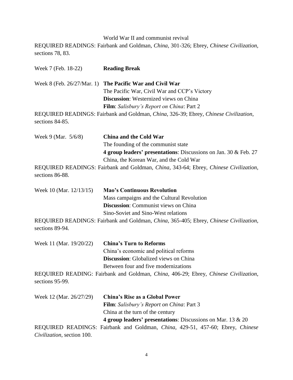World War II and communist revival REQUIRED READINGS: Fairbank and Goldman, *China*, 301-326; Ebrey, *Chinese Civilization*, sections 78, 83.

Week 7 (Feb. 18-22) **Reading Break** Week 8 (Feb. 26/27/Mar. 1) **The Pacific War and Civil War** The Pacific War, Civil War and CCP's Victory **Discussion**: Westernized views on China **Film**: *Salisbury's Report on China*: Part 2 REQUIRED READINGS: Fairbank and Goldman, *China*, 326-39; Ebrey, *Chinese Civilization*, sections 84-85. Week 9 (Mar. 5/6/8) **China and the Cold War**  The founding of the communist state **4 group leaders' presentations**: Discussions on Jan. 30 & Feb. 27 China, the Korean War, and the Cold War REQUIRED READINGS: Fairbank and Goldman, *China*, 343-64; Ebrey, *Chinese Civilization*, sections 86-88. Week 10 (Mar. 12/13/15) **Mao's Continuous Revolution**  Mass campaigns and the Cultural Revolution **Discussion**: Communist views on China Sino-Soviet and Sino-West relations REQUIRED READINGS: Fairbank and Goldman, *China*, 365-405; Ebrey, *Chinese Civilization*, sections 89-94. Week 11 (Mar. 19/20/22) **China's Turn to Reforms**  China's economic and political reforms **Discussion**: Globalized views on China Between four and five modernizations REQUIRED READING: Fairbank and Goldman, *China*, 406-29; Ebrey, *Chinese Civilization*, sections 95-99. Week 12 (Mar. 26/27/29) **China's Rise as a Global Power Film**: *Salisbury's Report on China*: Part 3 China at the turn of the century **4 group leaders' presentations**: Discussions on Mar. 13 & 20 REQUIRED READINGS: Fairbank and Goldman, *China*, 429-51, 457-60; Ebrey, *Chinese Civilization*, section 100.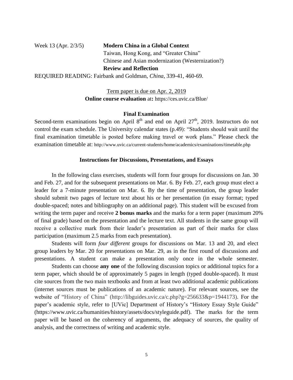### Week 13 (Apr. 2/3/5) **Modern China in a Global Context** Taiwan, Hong Kong, and "Greater China" Chinese and Asian modernization (Westernization?) **Review and Reflection** REQUIRED READING: Fairbank and Goldman, *China*, 339-41, 460-69.

Term paper is due on Apr. 2, 2019 **Online course evaluation** at**:** https://ces.uvic.ca/Blue/

#### **Final Examination**

Second-term examinations begin on April  $8<sup>th</sup>$  and end on April  $27<sup>th</sup>$ , 2019. Instructors do not control the exam schedule. The University calendar states (p.49): "Students should wait until the final examination timetable is posted before making travel or work plans." Please check the examination timetable at: http://www.uvic.ca/current-students/home/academics/examinations/timetable.php

#### **Instructions for Discussions, Presentations, and Essays**

In the following class exercises, students will form four groups for discussions on Jan. 30 and Feb. 27, and for the subsequent presentations on Mar. 6. By Feb. 27, each group must elect a leader for a 7-minute presentation on Mar. 6. By the time of presentation, the group leader should submit two pages of lecture text about his or her presentation (in essay format; typed double-spaced; notes and bibliography on an additional page). This student will be excused from writing the term paper and receive **2 bonus marks** and the marks for a term paper (maximum 20% of final grade) based on the presentation and the lecture text. All students in the same group will receive a collective mark from their leader's presentation as part of their marks for class participation (maximum 2.5 marks from each presentation).

Students will form *four different* groups for discussions on Mar. 13 and 20, and elect group leaders by Mar. 20 for presentations on Mar. 29, as in the first round of discussions and presentations. A student can make a presentation only once in the whole semester.

Students can choose **any one** of the following discussion topics or additional topics for a term paper, which should be of approximately 5 pages in length (typed double-spaced). It must cite sources from the two main textbooks and from at least two additional academic publications (internet sources must be publications of an academic nature). For relevant sources, see the website of "History of China" (http://libguides.uvic.ca/c.php?g=256633&p=1944173). For the paper's academic style, refer to [UVic] Department of History's "History Essay Style Guide" (https://www.uvic.ca/humanities/history/assets/docs/styleguide.pdf). The marks for the term paper will be based on the coherency of arguments, the adequacy of sources, the quality of analysis, and the correctness of writing and academic style.